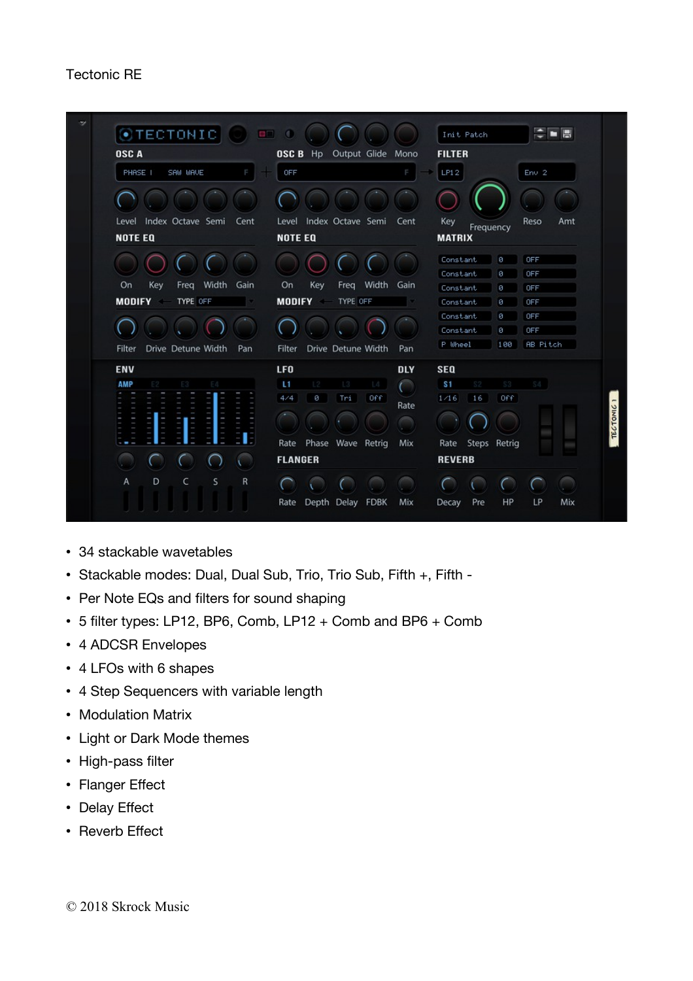## Tectonic RE



- 34 stackable wavetables
- Stackable modes: Dual, Dual Sub, Trio, Trio Sub, Fifth +, Fifth -
- Per Note EQs and filters for sound shaping
- 5 flter types: LP12, BP6, Comb, LP12 + Comb and BP6 + Comb
- 4 ADCSR Envelopes
- 4 LFOs with 6 shapes
- 4 Step Sequencers with variable length
- Modulation Matrix
- Light or Dark Mode themes
- High-pass filter
- Flanger Effect
- Delay Efect
- Reverb Effect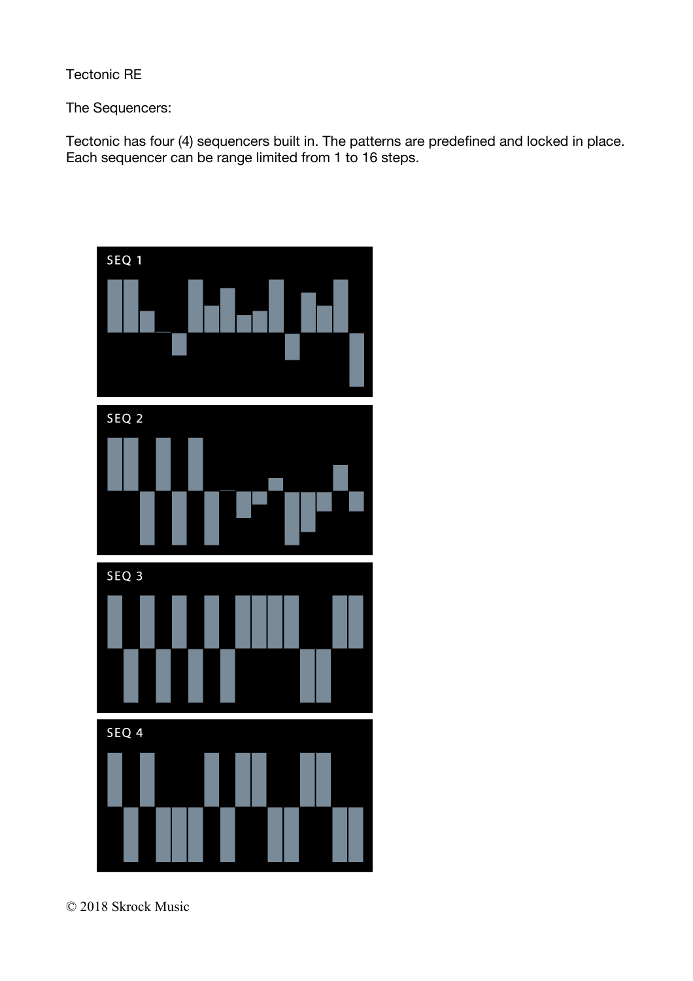Tectonic RE

The Sequencers:

Tectonic has four (4) sequencers built in. The patterns are predefined and locked in place. Each sequencer can be range limited from 1 to 16 steps.